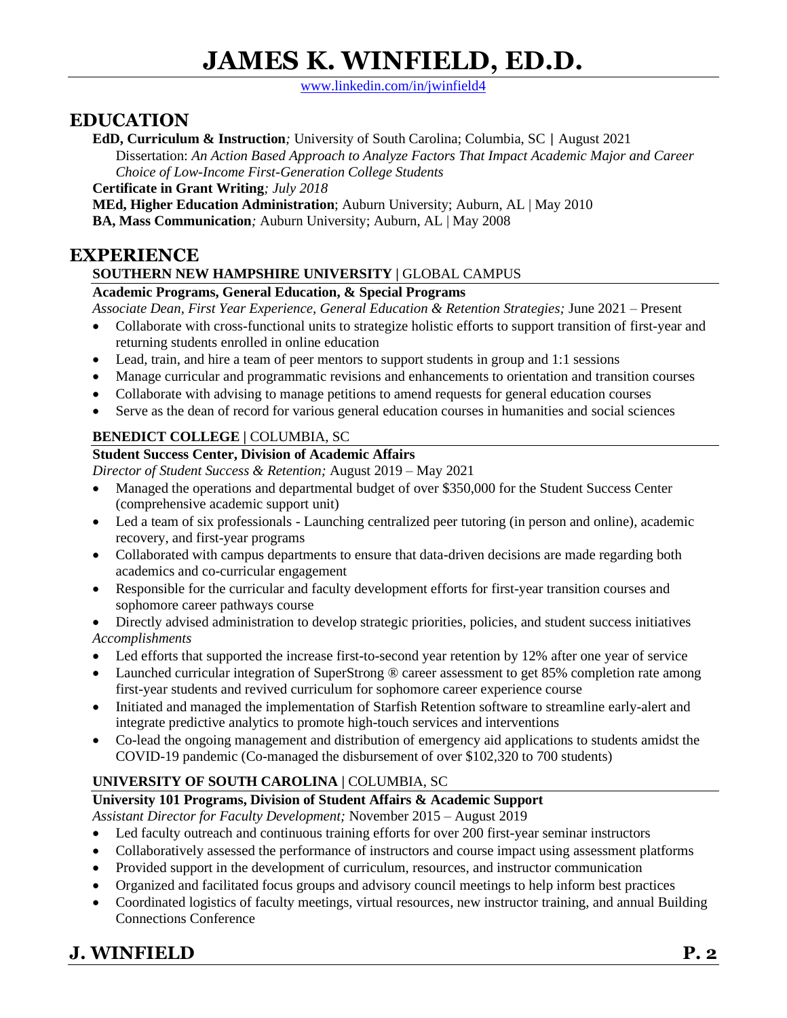# **JAMES K. WINFIELD, ED.D.**

[www.linkedin.com/in/jwinfield4](http://www.linkedin.com/in/jwinfield4)

### **EDUCATION**

**EdD, Curriculum & Instruction***;* University of South Carolina; Columbia, SC | August 2021

Dissertation: *An Action Based Approach to Analyze Factors That Impact Academic Major and Career Choice of Low-Income First-Generation College Students*

**Certificate in Grant Writing***; July 2018*

**MEd, Higher Education Administration**; Auburn University; Auburn, AL | May 2010

**BA, Mass Communication***;* Auburn University; Auburn, AL | May 2008

### **EXPERIENCE**

### **SOUTHERN NEW HAMPSHIRE UNIVERSITY | GLOBAL CAMPUS**

#### **Academic Programs, General Education, & Special Programs**

*Associate Dean, First Year Experience, General Education & Retention Strategies;* June 2021 – Present

- Collaborate with cross-functional units to strategize holistic efforts to support transition of first-year and returning students enrolled in online education
- Lead, train, and hire a team of peer mentors to support students in group and 1:1 sessions
- Manage curricular and programmatic revisions and enhancements to orientation and transition courses
- Collaborate with advising to manage petitions to amend requests for general education courses
- Serve as the dean of record for various general education courses in humanities and social sciences

### **BENEDICT COLLEGE |** COLUMBIA, SC

### **Student Success Center, Division of Academic Affairs**

*Director of Student Success & Retention;* August 2019 – May 2021

- Managed the operations and departmental budget of over \$350,000 for the Student Success Center (comprehensive academic support unit)
- Led a team of six professionals Launching centralized peer tutoring (in person and online), academic recovery, and first-year programs
- Collaborated with campus departments to ensure that data-driven decisions are made regarding both academics and co-curricular engagement
- Responsible for the curricular and faculty development efforts for first-year transition courses and sophomore career pathways course
- Directly advised administration to develop strategic priorities, policies, and student success initiatives *Accomplishments*
- Led efforts that supported the increase first-to-second year retention by 12% after one year of service
- Launched curricular integration of SuperStrong ® career assessment to get 85% completion rate among first-year students and revived curriculum for sophomore career experience course
- Initiated and managed the implementation of Starfish Retention software to streamline early-alert and integrate predictive analytics to promote high-touch services and interventions
- Co-lead the ongoing management and distribution of emergency aid applications to students amidst the COVID-19 pandemic (Co-managed the disbursement of over \$102,320 to 700 students)

### **UNIVERSITY OF SOUTH CAROLINA |** COLUMBIA, SC

### **University 101 Programs, Division of Student Affairs & Academic Support**

*Assistant Director for Faculty Development;* November 2015 – August 2019

- Led faculty outreach and continuous training efforts for over 200 first-year seminar instructors
- Collaboratively assessed the performance of instructors and course impact using assessment platforms
- Provided support in the development of curriculum, resources, and instructor communication
- Organized and facilitated focus groups and advisory council meetings to help inform best practices
- Coordinated logistics of faculty meetings, virtual resources, new instructor training, and annual Building Connections Conference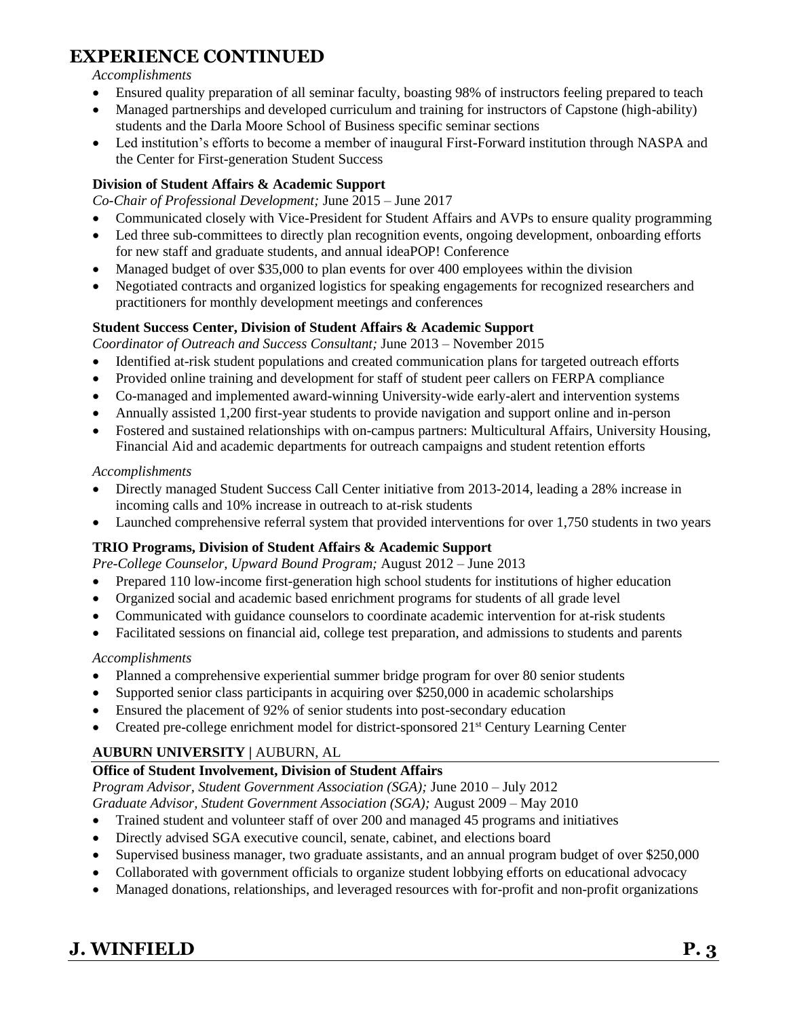# **EXPERIENCE CONTINUED**

#### *Accomplishments*

- Ensured quality preparation of all seminar faculty, boasting 98% of instructors feeling prepared to teach
- Managed partnerships and developed curriculum and training for instructors of Capstone (high-ability) students and the Darla Moore School of Business specific seminar sections
- Led institution's efforts to become a member of inaugural First-Forward institution through NASPA and the Center for First-generation Student Success

#### **Division of Student Affairs & Academic Support**

*Co-Chair of Professional Development;* June 2015 – June 2017

- Communicated closely with Vice-President for Student Affairs and AVPs to ensure quality programming
- Led three sub-committees to directly plan recognition events, ongoing development, onboarding efforts for new staff and graduate students, and annual ideaPOP! Conference
- Managed budget of over \$35,000 to plan events for over 400 employees within the division
- Negotiated contracts and organized logistics for speaking engagements for recognized researchers and practitioners for monthly development meetings and conferences

#### **Student Success Center, Division of Student Affairs & Academic Support**

*Coordinator of Outreach and Success Consultant;* June 2013 – November 2015

- Identified at-risk student populations and created communication plans for targeted outreach efforts
- Provided online training and development for staff of student peer callers on FERPA compliance
- Co-managed and implemented award-winning University-wide early-alert and intervention systems
- Annually assisted 1,200 first-year students to provide navigation and support online and in-person
- Fostered and sustained relationships with on-campus partners: Multicultural Affairs, University Housing, Financial Aid and academic departments for outreach campaigns and student retention efforts

#### *Accomplishments*

- Directly managed Student Success Call Center initiative from 2013-2014, leading a 28% increase in incoming calls and 10% increase in outreach to at-risk students
- Launched comprehensive referral system that provided interventions for over 1,750 students in two years

### **TRIO Programs, Division of Student Affairs & Academic Support**

*Pre-College Counselor, Upward Bound Program;* August 2012 – June 2013

- Prepared 110 low-income first-generation high school students for institutions of higher education
- Organized social and academic based enrichment programs for students of all grade level
- Communicated with guidance counselors to coordinate academic intervention for at-risk students
- Facilitated sessions on financial aid, college test preparation, and admissions to students and parents

#### *Accomplishments*

- Planned a comprehensive experiential summer bridge program for over 80 senior students
- Supported senior class participants in acquiring over \$250,000 in academic scholarships
- Ensured the placement of 92% of senior students into post-secondary education
- Created pre-college enrichment model for district-sponsored 21<sup>st</sup> Century Learning Center

### **AUBURN UNIVERSITY |** AUBURN, AL

### **Office of Student Involvement, Division of Student Affairs**

*Program Advisor, Student Government Association (SGA);* June 2010 – July 2012 *Graduate Advisor, Student Government Association (SGA);* August 2009 – May 2010

- Trained student and volunteer staff of over 200 and managed 45 programs and initiatives
- Directly advised SGA executive council, senate, cabinet, and elections board
- Supervised business manager, two graduate assistants, and an annual program budget of over \$250,000
- Collaborated with government officials to organize student lobbying efforts on educational advocacy
- Managed donations, relationships, and leveraged resources with for-profit and non-profit organizations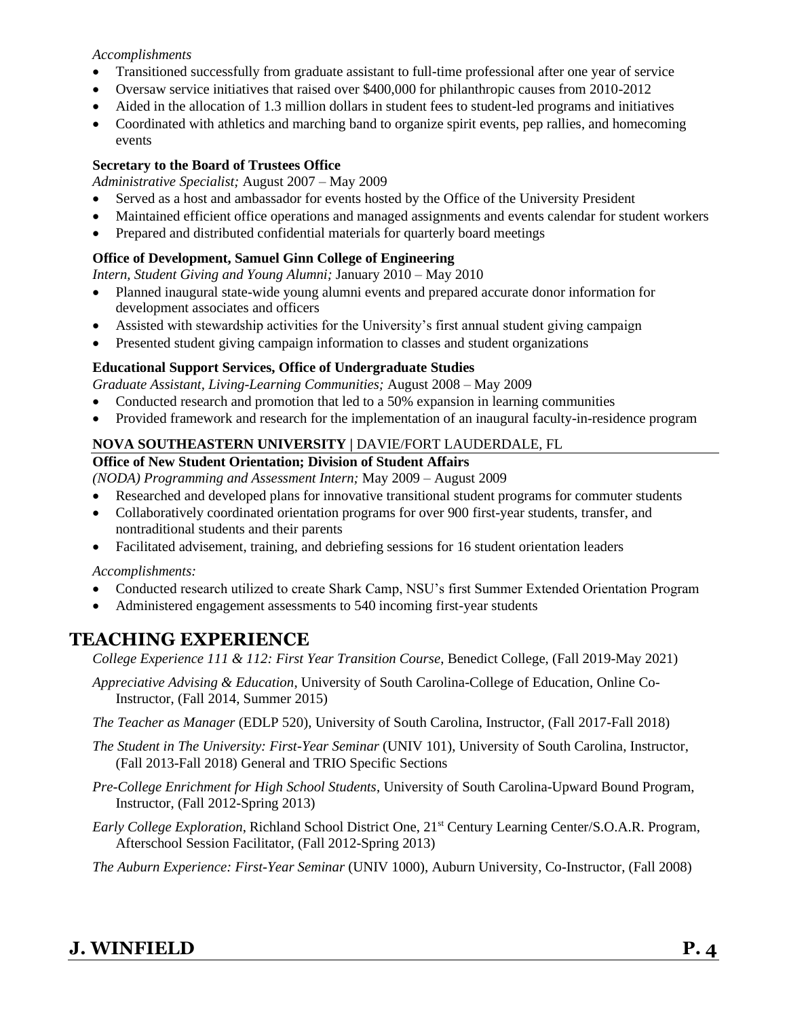#### *Accomplishments*

- Transitioned successfully from graduate assistant to full-time professional after one year of service
- Oversaw service initiatives that raised over \$400,000 for philanthropic causes from 2010-2012
- Aided in the allocation of 1.3 million dollars in student fees to student-led programs and initiatives
- Coordinated with athletics and marching band to organize spirit events, pep rallies, and homecoming events

#### **Secretary to the Board of Trustees Office**

*Administrative Specialist;* August 2007 – May 2009

- Served as a host and ambassador for events hosted by the Office of the University President
- Maintained efficient office operations and managed assignments and events calendar for student workers
- Prepared and distributed confidential materials for quarterly board meetings

#### **Office of Development, Samuel Ginn College of Engineering**

*Intern, Student Giving and Young Alumni;* January 2010 – May 2010

- Planned inaugural state-wide young alumni events and prepared accurate donor information for development associates and officers
- Assisted with stewardship activities for the University's first annual student giving campaign
- Presented student giving campaign information to classes and student organizations

#### **Educational Support Services, Office of Undergraduate Studies**

*Graduate Assistant, Living-Learning Communities;* August 2008 – May 2009

- Conducted research and promotion that led to a 50% expansion in learning communities
- Provided framework and research for the implementation of an inaugural faculty-in-residence program

#### **NOVA SOUTHEASTERN UNIVERSITY |** DAVIE/FORT LAUDERDALE, FL

#### **Office of New Student Orientation; Division of Student Affairs**

*(NODA) Programming and Assessment Intern;* May 2009 – August 2009

- Researched and developed plans for innovative transitional student programs for commuter students
- Collaboratively coordinated orientation programs for over 900 first-year students, transfer, and nontraditional students and their parents
- Facilitated advisement, training, and debriefing sessions for 16 student orientation leaders

*Accomplishments:*

- Conducted research utilized to create Shark Camp, NSU's first Summer Extended Orientation Program
- Administered engagement assessments to 540 incoming first-year students

### **TEACHING EXPERIENCE**

*College Experience 111 & 112: First Year Transition Course*, Benedict College, (Fall 2019-May 2021)

- *Appreciative Advising & Education*, University of South Carolina-College of Education, Online Co-Instructor, (Fall 2014, Summer 2015)
- *The Teacher as Manager* (EDLP 520), University of South Carolina, Instructor, (Fall 2017-Fall 2018)
- *The Student in The University: First-Year Seminar* (UNIV 101), University of South Carolina, Instructor, (Fall 2013-Fall 2018) General and TRIO Specific Sections
- *Pre-College Enrichment for High School Students*, University of South Carolina-Upward Bound Program, Instructor, (Fall 2012-Spring 2013)
- *Early College Exploration*, Richland School District One, 21<sup>st</sup> Century Learning Center/S.O.A.R. Program, Afterschool Session Facilitator, (Fall 2012-Spring 2013)

*The Auburn Experience: First-Year Seminar* (UNIV 1000), Auburn University, Co-Instructor, (Fall 2008)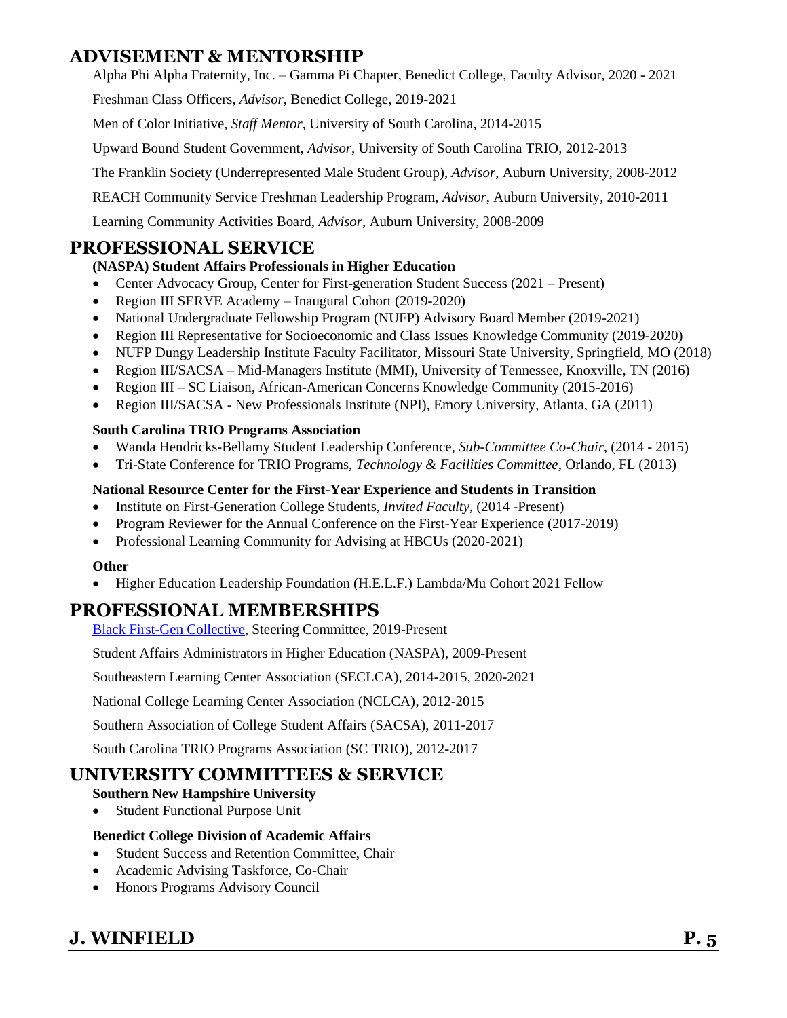### **ADVISEMENT & MENTORSHIP**

Alpha Phi Alpha Fraternity, Inc. – Gamma Pi Chapter, Benedict College, Faculty Advisor, 2020 - 2021

Freshman Class Officers, *Advisor*, Benedict College, 2019-2021

Men of Color Initiative, *Staff Mentor*, University of South Carolina, 2014-2015

Upward Bound Student Government, *Advisor*, University of South Carolina TRIO, 2012-2013

The Franklin Society (Underrepresented Male Student Group), *Advisor*, Auburn University, 2008-2012

REACH Community Service Freshman Leadership Program, *Advisor*, Auburn University, 2010-2011

Learning Community Activities Board, *Advisor*, Auburn University, 2008-2009

### **PROFESSIONAL SERVICE**

### **(NASPA) Student Affairs Professionals in Higher Education**

- Center Advocacy Group, Center for First-generation Student Success (2021 Present)
- Region III SERVE Academy Inaugural Cohort (2019-2020)
- National Undergraduate Fellowship Program (NUFP) Advisory Board Member (2019-2021)
- Region III Representative for Socioeconomic and Class Issues Knowledge Community (2019-2020)
- NUFP Dungy Leadership Institute Faculty Facilitator, Missouri State University, Springfield, MO (2018)
- Region III/SACSA Mid-Managers Institute (MMI), University of Tennessee, Knoxville, TN (2016)
- Region III SC Liaison, African-American Concerns Knowledge Community (2015-2016)
- Region III/SACSA New Professionals Institute (NPI), Emory University, Atlanta, GA (2011)

#### **South Carolina TRIO Programs Association**

- Wanda Hendricks-Bellamy Student Leadership Conference, *Sub-Committee Co-Chair*, (2014 2015)
- Tri-State Conference for TRIO Programs, *Technology & Facilities Committee*, Orlando, FL (2013)

#### **National Resource Center for the First-Year Experience and Students in Transition**

- Institute on First-Generation College Students, *Invited Faculty*, (2014 -Present)
- Program Reviewer for the Annual Conference on the First-Year Experience (2017-2019)
- Professional Learning Community for Advising at HBCUs (2020-2021)

#### **Other**

• Higher Education Leadership Foundation (H.E.L.F.) Lambda/Mu Cohort 2021 Fellow

### **PROFESSIONAL MEMBERSHIPS**

[Black First-Gen Collective,](https://firstgen.naspa.org/why-first-gen/black-first-gen-collective/black-first-gen-collective) Steering Committee, 2019-Present

Student Affairs Administrators in Higher Education (NASPA), 2009-Present

Southeastern Learning Center Association (SECLCA), 2014-2015, 2020-2021

National College Learning Center Association (NCLCA), 2012-2015

Southern Association of College Student Affairs (SACSA), 2011-2017

South Carolina TRIO Programs Association (SC TRIO), 2012-2017

### **UNIVERSITY COMMITTEES & SERVICE**

### **Southern New Hampshire University**

• Student Functional Purpose Unit

### **Benedict College Division of Academic Affairs**

- Student Success and Retention Committee, Chair
- Academic Advising Taskforce, Co-Chair
- Honors Programs Advisory Council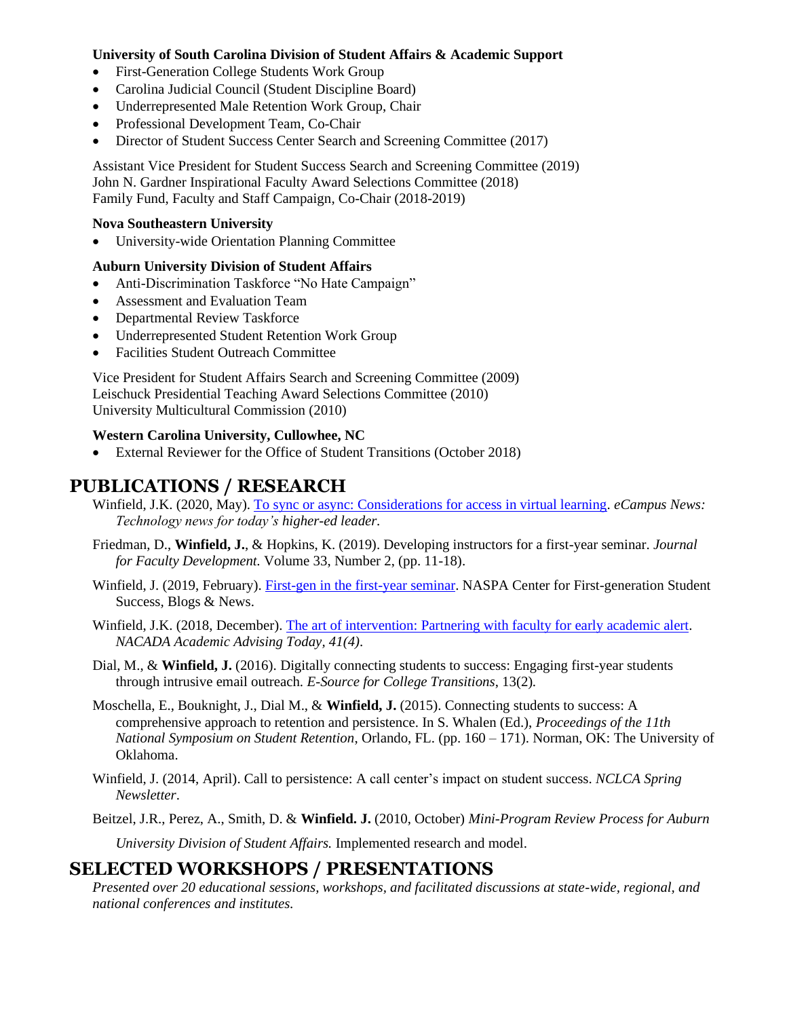#### **University of South Carolina Division of Student Affairs & Academic Support**

- First-Generation College Students Work Group
- Carolina Judicial Council (Student Discipline Board)
- Underrepresented Male Retention Work Group, Chair
- Professional Development Team, Co-Chair
- Director of Student Success Center Search and Screening Committee (2017)

Assistant Vice President for Student Success Search and Screening Committee (2019) John N. Gardner Inspirational Faculty Award Selections Committee (2018) Family Fund, Faculty and Staff Campaign, Co-Chair (2018-2019)

#### **Nova Southeastern University**

• University-wide Orientation Planning Committee

#### **Auburn University Division of Student Affairs**

- Anti-Discrimination Taskforce "No Hate Campaign"
- Assessment and Evaluation Team
- Departmental Review Taskforce
- Underrepresented Student Retention Work Group
- Facilities Student Outreach Committee

Vice President for Student Affairs Search and Screening Committee (2009) Leischuck Presidential Teaching Award Selections Committee (2010) University Multicultural Commission (2010)

#### **Western Carolina University, Cullowhee, NC**

• External Reviewer for the Office of Student Transitions (October 2018)

### **PUBLICATIONS / RESEARCH**

- Winfield, J.K. (2020, May). [To sync or async: Considerations for access in virtual learning.](https://www.ecampusnews.com/2020/05/04/synchronous-learning-access/) *eCampus News*: *Technology news for today's higher-ed leader.*
- Friedman, D., **Winfield, J.**, & Hopkins, K. (2019). Developing instructors for a first-year seminar. *Journal for Faculty Development.* Volume 33, Number 2, (pp. 11-18).
- Winfield, J. (2019, February). [First-gen in the first-year seminar.](https://firstgen.naspa.org/blog/first-gen-in-the-first-year-seminar) NASPA Center for First-generation Student Success*,* Blogs & News.
- Winfield, J.K. (2018, December). [The art of intervention: Partnering with faculty for](https://www.nacada.ksu.edu/Resources/Academic-Advising-Today/View-Articles/The-Art-of-Intervention-Partnering-with-Faculty-for-Early-Academic-Alert.aspx) early academic alert. *NACADA Academic Advising Today, 41(4)*.
- Dial, M., & **Winfield, J.** (2016). Digitally connecting students to success: Engaging first-year students through intrusive email outreach. *E-Source for College Transitions*, 13(2)*.*
- Moschella, E., Bouknight, J., Dial M., & **Winfield, J.** (2015). Connecting students to success: A comprehensive approach to retention and persistence. In S. Whalen (Ed.), *Proceedings of the 11th National Symposium on Student Retention*, Orlando, FL. (pp. 160 – 171). Norman, OK: The University of Oklahoma.
- Winfield, J. (2014, April). Call to persistence: A call center's impact on student success. *NCLCA Spring Newsletter*.
- Beitzel, J.R., Perez, A., Smith, D. & **Winfield. J.** (2010, October) *Mini-Program Review Process for Auburn University Division of Student Affairs.* Implemented research and model.

### **SELECTED WORKSHOPS / PRESENTATIONS**

*Presented over 20 educational sessions, workshops, and facilitated discussions at state-wide, regional, and national conferences and institutes.*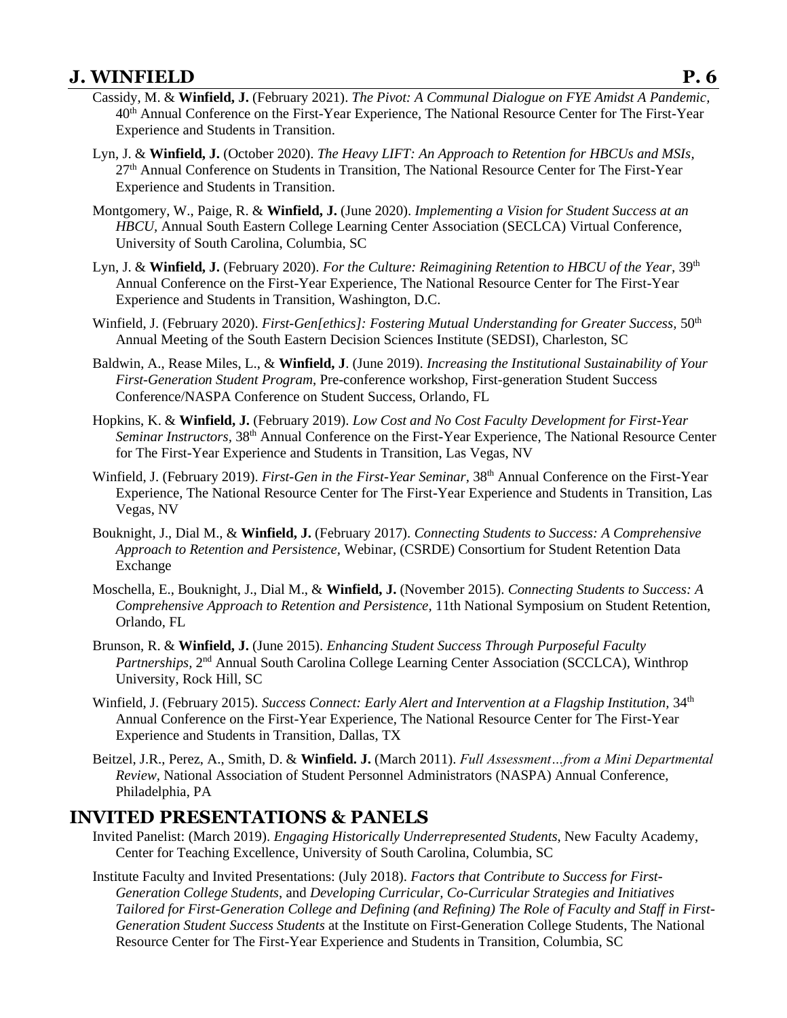### **J. WINFIELD P. 6**

- Cassidy, M. & **Winfield, J.** (February 2021). *The Pivot: A Communal Dialogue on FYE Amidst A Pandemic,*  40th Annual Conference on the First-Year Experience, The National Resource Center for The First-Year Experience and Students in Transition.
- Lyn, J. & **Winfield, J.** (October 2020). *The Heavy LIFT: An Approach to Retention for HBCUs and MSIs,*  27<sup>th</sup> Annual Conference on Students in Transition, The National Resource Center for The First-Year Experience and Students in Transition.
- Montgomery, W., Paige, R. & **Winfield, J.** (June 2020). *Implementing a Vision for Student Success at an HBCU,* Annual South Eastern College Learning Center Association (SECLCA) Virtual Conference, University of South Carolina, Columbia, SC
- Lyn, J. & **Winfield, J.** (February 2020). *For the Culture: Reimagining Retention to HBCU of the Year,* 39th Annual Conference on the First-Year Experience, The National Resource Center for The First-Year Experience and Students in Transition, Washington, D.C.
- Winfield, J. (February 2020). *First-Gen[ethics]: Fostering Mutual Understanding for Greater Success*, 50<sup>th</sup> Annual Meeting of the South Eastern Decision Sciences Institute (SEDSI), Charleston, SC
- Baldwin, A., Rease Miles, L., & **Winfield, J**. (June 2019). *Increasing the Institutional Sustainability of Your First-Generation Student Program*, Pre-conference workshop, First-generation Student Success Conference/NASPA Conference on Student Success, Orlando, FL
- Hopkins, K. & **Winfield, J.** (February 2019). *Low Cost and No Cost Faculty Development for First-Year Seminar Instructors,* 38th Annual Conference on the First-Year Experience, The National Resource Center for The First-Year Experience and Students in Transition, Las Vegas, NV
- Winfield, J. (February 2019). *First-Gen in the First-Year Seminar,* 38th Annual Conference on the First-Year Experience, The National Resource Center for The First-Year Experience and Students in Transition, Las Vegas, NV
- Bouknight, J., Dial M., & **Winfield, J.** (February 2017). *Connecting Students to Success: A Comprehensive Approach to Retention and Persistence,* Webinar, (CSRDE) Consortium for Student Retention Data Exchange
- Moschella, E., Bouknight, J., Dial M., & **Winfield, J.** (November 2015). *Connecting Students to Success: A Comprehensive Approach to Retention and Persistence,* 11th National Symposium on Student Retention, Orlando, FL
- Brunson, R. & **Winfield, J.** (June 2015). *Enhancing Student Success Through Purposeful Faculty*  Partnerships, 2<sup>nd</sup> Annual South Carolina College Learning Center Association (SCCLCA), Winthrop University, Rock Hill, SC
- Winfield, J. (February 2015). *Success Connect: Early Alert and Intervention at a Flagship Institution*, 34<sup>th</sup> Annual Conference on the First-Year Experience, The National Resource Center for The First-Year Experience and Students in Transition, Dallas, TX
- Beitzel, J.R., Perez, A., Smith, D. & **Winfield. J.** (March 2011). *Full Assessment…from a Mini Departmental Review,* National Association of Student Personnel Administrators (NASPA) Annual Conference, Philadelphia, PA

### **INVITED PRESENTATIONS & PANELS**

- Invited Panelist: (March 2019). *Engaging Historically Underrepresented Students*, New Faculty Academy, Center for Teaching Excellence, University of South Carolina, Columbia, SC
- Institute Faculty and Invited Presentations: (July 2018). *Factors that Contribute to Success for First-Generation College Students*, and *Developing Curricular, Co-Curricular Strategies and Initiatives Tailored for First-Generation College and Defining (and Refining) The Role of Faculty and Staff in First-Generation Student Success Students* at the Institute on First-Generation College Students, The National Resource Center for The First-Year Experience and Students in Transition, Columbia, SC